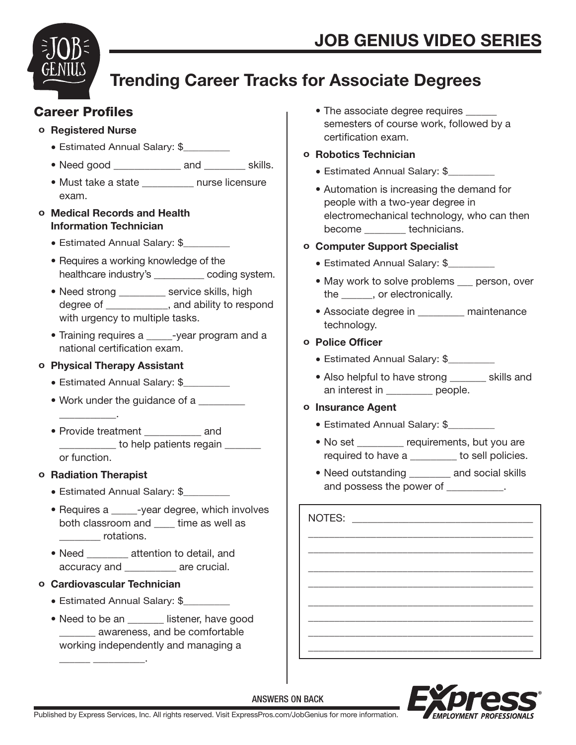

# Trending Career Tracks for Associate Degrees

# Career Profiles

### o Registered Nurse

- Estimated Annual Salary: \$
- Need good \_\_\_\_\_\_\_\_\_\_\_\_\_\_ and \_\_\_\_\_\_\_\_ skills.
- Must take a state \_\_\_\_\_\_\_\_\_\_ nurse licensure exam.

### o Medical Records and Health Information Technician

- Estimated Annual Salary: \$
- Requires a working knowledge of the healthcare industry's \_\_\_\_\_\_\_\_\_\_ coding system.
- Need strong \_\_\_\_\_\_\_\_ service skills, high degree of  $\qquad \qquad$ , and ability to respond with urgency to multiple tasks.
- Training requires a serial every program and a national certification exam.

### o Physical Therapy Assistant

- Estimated Annual Salary: \$
- Work under the guidance of a
- Provide treatment **and** to help patients regain or function.

### o Radiation Therapist

 $\frac{1}{\sqrt{2}}$  ,  $\frac{1}{\sqrt{2}}$  ,  $\frac{1}{\sqrt{2}}$  ,  $\frac{1}{\sqrt{2}}$  ,  $\frac{1}{\sqrt{2}}$  ,  $\frac{1}{\sqrt{2}}$ 

- Estimated Annual Salary: \$\_\_\_\_\_\_\_\_\_
- Requires a \_\_\_\_\_-year degree, which involves both classroom and \_\_\_\_ time as well as \_\_\_\_\_\_\_\_ rotations.
- Need \_\_\_\_\_\_\_\_ attention to detail, and accuracy and **are crucial.**

### o Cardiovascular Technician

\_\_\_\_\_\_ \_\_\_\_\_\_\_\_\_\_.

- Estimated Annual Salary: \$
- Need to be an externer, have good \_\_\_\_\_\_\_ awareness, and be comfortable working independently and managing a

• The associate degree requires semesters of course work, followed by a certification exam.

### o Robotics Technician

- Estimated Annual Salary: \$
- Automation is increasing the demand for people with a two-year degree in electromechanical technology, who can then become technicians.

### o Computer Support Specialist

- Estimated Annual Salary: \$
- May work to solve problems person, over the \_\_\_\_\_\_, or electronically.
- Associate degree in \_\_\_\_\_\_\_\_\_ maintenance technology.

### o Police Officer

- Estimated Annual Salary: \$
- Also helpful to have strong \_\_\_\_\_\_\_\_\_ skills and an interest in \_\_\_\_\_\_\_\_\_ people.

### o Insurance Agent

- Estimated Annual Salary: \$
- No set requirements, but you are required to have a **busines** to sell policies.
- Need outstanding and social skills and possess the power of  $\qquad \qquad$ .

NOTES: \_\_\_\_\_\_\_\_\_\_\_\_\_\_\_\_\_\_\_\_\_\_\_\_\_\_\_\_\_\_\_\_\_\_\_\_\_\_\_\_\_\_\_ \_\_\_\_\_\_\_\_\_\_\_\_\_\_\_\_\_\_\_\_\_\_\_\_\_\_\_\_\_\_\_\_\_\_\_\_\_\_\_\_\_\_\_ \_\_\_\_\_\_\_\_\_\_\_\_\_\_\_\_\_\_\_\_\_\_\_\_\_\_\_\_\_\_\_\_\_\_\_\_\_\_\_\_\_\_\_ \_\_\_\_\_\_\_\_\_\_\_\_\_\_\_\_\_\_\_\_\_\_\_\_\_\_\_\_\_\_\_\_\_\_\_\_\_\_\_\_\_\_\_ \_\_\_\_\_\_\_\_\_\_\_\_\_\_\_\_\_\_\_\_\_\_\_\_\_\_\_\_\_\_\_\_\_\_\_\_\_\_\_\_\_\_\_ \_\_\_\_\_\_\_\_\_\_\_\_\_\_\_\_\_\_\_\_\_\_\_\_\_\_\_\_\_\_\_\_\_\_\_\_\_\_\_\_\_\_\_ \_\_\_\_\_\_\_\_\_\_\_\_\_\_\_\_\_\_\_\_\_\_\_\_\_\_\_\_\_\_\_\_\_\_\_\_\_\_\_\_\_\_\_ \_\_\_\_\_\_\_\_\_\_\_\_\_\_\_\_\_\_\_\_\_\_\_\_\_\_\_\_\_\_\_\_\_\_\_\_\_\_\_\_\_\_\_



# ANSWERS ON BACK